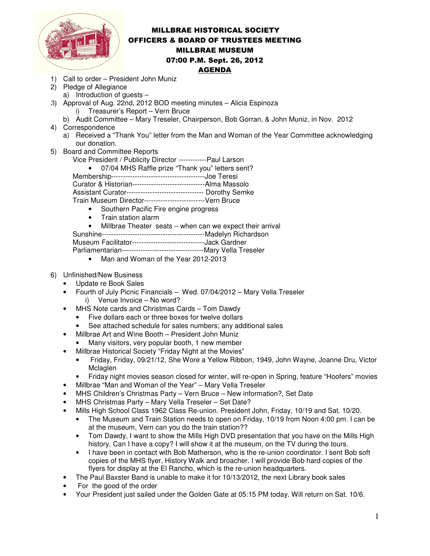

## MILLBRAE HISTORICAL SOCIETY OFFICERS & BOARD OF TRUSTEES MEETING MILLBRAE MUSEUM 07:00 P.M. Sept. 26, 2012 AGENDA

- 1) Call to order President John Muniz
- 2) Pledge of Allegiance
- a) Introduction of guests –
- 3) Approval of Aug. 22nd, 2012 BOD meeting minutes Alicia Espinoza i) Treasurer's Report – Vern Bruce
	- b) Audit Committee Mary Treseler, Chairperson, Bob Gorran, & John Muniz, in Nov. 2012
- 4) Correspondence
	- a) Received a "Thank You" letter from the Man and Woman of the Year Committee acknowledging our donation.
- 5) Board and Committee Reports
	- Vice President / Publicity Director ------------Paul Larson

• 07/04 MHS Raffle prize "Thank you" letters sent?

Membership----------------------------------------Joe Teresi

Curator & Historian-------------------------------Alma Massolo

Assistant Curator--------------------------------- Dorothy Semke

Train Museum Director--------------------------Vern Bruce

- Southern Pacific Fire engine progress
- Train station alarm

• Millbrae Theater seats – when can we expect their arrival

Sunshine--------------------------------------------Madelyn Richardson

Museum Facilitator-------------------------------Jack Gardner

Parliamentarian-----------------------------------Mary Vella Treseler

- Man and Woman of the Year 2012-2013
- 6) Unfinished/New Business
	- Update re Book Sales
	- Fourth of July Picnic Financials Wed. 07/04/2012 Mary Vella Treseler i) Venue Invoice – No word?
	- MHS Note cards and Christmas Cards Tom Dawdy
		- Five dollars each or three boxes for twelve dollars
		- See attached schedule for sales numbers; any additional sales
		- Millbrae Art and Wine Booth President John Muniz
		- Many visitors, very popular booth, 1 new member
	- Millbrae Historical Society "Friday Night at the Movies"
		- Friday, Friday, 09/21/12, She Wore a Yellow Ribbon, 1949, John Wayne, Joanne Dru, Victor Mclaglen
		- Friday night movies season closed for winter, will re-open in Spring, feature "Hoofers" movies
	- Millbrae "Man and Woman of the Year" Mary Vella Treseler
	- MHS Children's Christmas Party Vern Bruce New information?, Set Date
	- MHS Christmas Party Mary Vella Treseler Set Date?
	- Mills High School Class 1962 Class Re-union. President John, Friday, 10/19 and Sat. 10/20.
		- The Museum and Train Station needs to open on Friday, 10/19 from Noon 4:00 pm. I can be at the museum, Vern can you do the train station??
		- Tom Dawdy, I want to show the Mills High DVD presentation that you have on the Mills High history, Can I have a copy? I will show it at the museum, on the TV during the tours.
		- I have been in contact with Bob Matherson, who is the re-union coordinator. I sent Bob soft copies of the MHS flyer, History Walk and broacher. I will provide Bob hard copies of the flyers for display at the El Rancho, which is the re-union headquarters.
	- The Paul Baxster Band is unable to make it for 10/13/2012, the next Library book sales
	- For the good of the order
	- Your President just sailed under the Golden Gate at 05:15 PM today. Will return on Sat. 10/6.